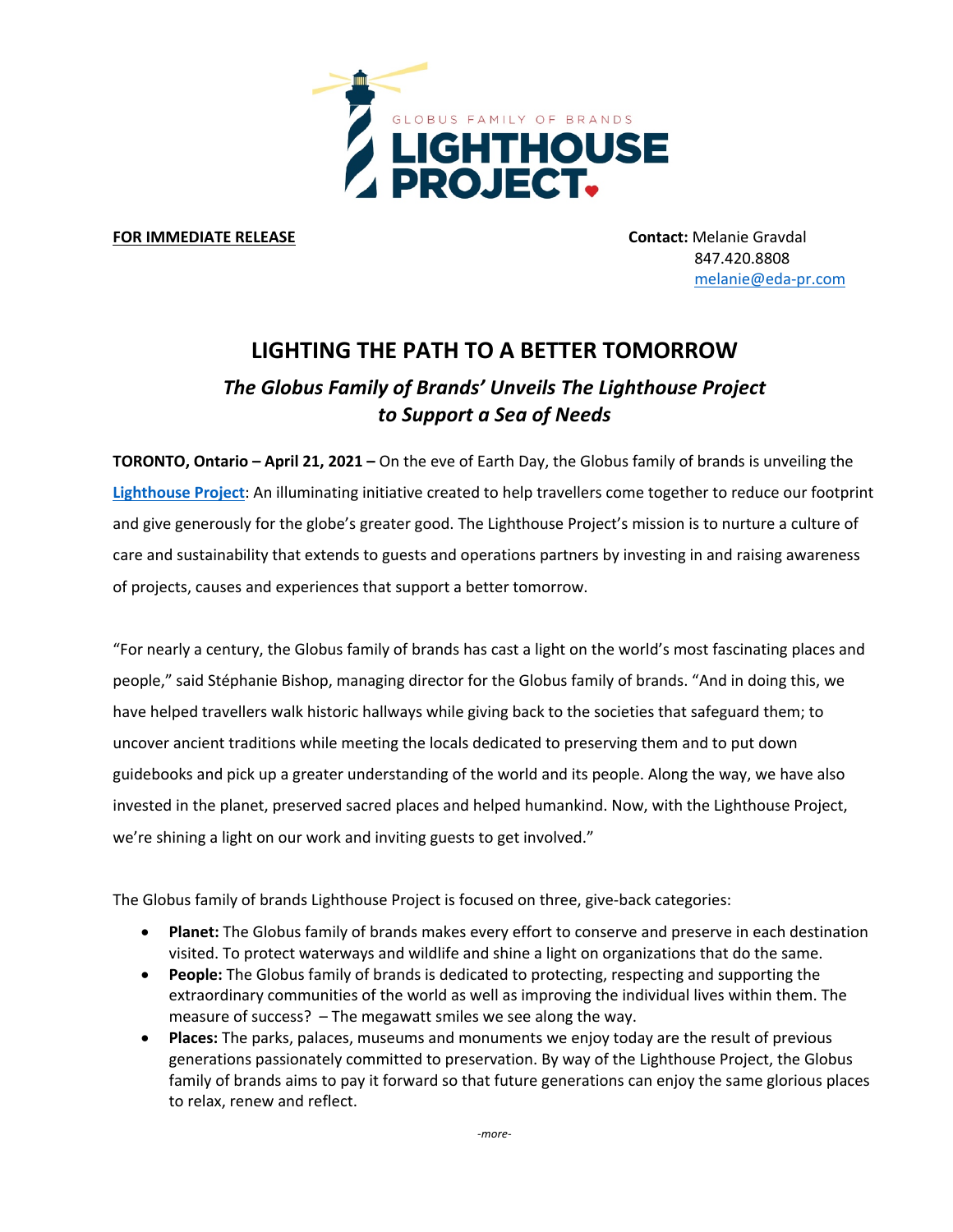

**FOR IMMEDIATE RELEASE CONTACTER IMMEDIATE RELEASE** 

 847.420.8808 melanie@eda-pr.com

## **LIGHTING THE PATH TO A BETTER TOMORROW** *The Globus Family of Brands' Unveils The Lighthouse Project to Support a Sea of Needs*

**TORONTO, Ontario – April 21, 2021 –** On the eve of Earth Day, the Globus family of brands is unveiling the **Lighthouse Project**: An illuminating initiative created to help travellers come together to reduce our footprint and give generously for the globe's greater good. The Lighthouse Project's mission is to nurture a culture of care and sustainability that extends to guests and operations partners by investing in and raising awareness of projects, causes and experiences that support a better tomorrow.

"For nearly a century, the Globus family of brands has cast a light on the world's most fascinating places and people," said Stéphanie Bishop, managing director for the Globus family of brands. "And in doing this, we have helped travellers walk historic hallways while giving back to the societies that safeguard them; to uncover ancient traditions while meeting the locals dedicated to preserving them and to put down guidebooks and pick up a greater understanding of the world and its people. Along the way, we have also invested in the planet, preserved sacred places and helped humankind. Now, with the Lighthouse Project, we're shining a light on our work and inviting guests to get involved."

The Globus family of brands Lighthouse Project is focused on three, give-back categories:

- **Planet:** The Globus family of brands makes every effort to conserve and preserve in each destination visited. To protect waterways and wildlife and shine a light on organizations that do the same.
- **People:** The Globus family of brands is dedicated to protecting, respecting and supporting the extraordinary communities of the world as well as improving the individual lives within them. The measure of success? – The megawatt smiles we see along the way.
- **Places:** The parks, palaces, museums and monuments we enjoy today are the result of previous generations passionately committed to preservation. By way of the Lighthouse Project, the Globus family of brands aims to pay it forward so that future generations can enjoy the same glorious places to relax, renew and reflect.